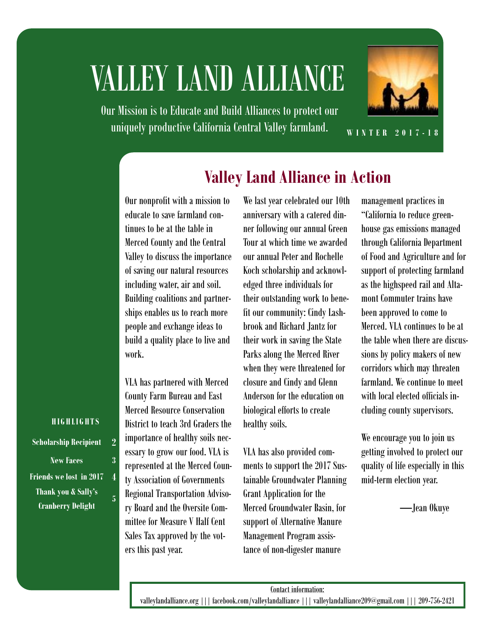# VALLEY LAND ALLIANCE

Our Mission is to Educate and Build Alliances to protect our uniquely productive California Central Valley farmland.



**W I N T E R 2 0 1 7 - 1 8**

### **Valley Land Alliance in Action**

Our nonprofit with a mission to educate to save farmland continues to be at the table in Merced County and the Central Valley to discuss the importance of saving our natural resources including water, air and soil. Building coalitions and partnerships enables us to reach more people and exchange ideas to build a quality place to live and work.

VLA has partnered with Merced County Farm Bureau and East Merced Resource Conservation District to teach 3rd Graders the importance of healthy soils necessary to grow our food. VLA is represented at the Merced County Association of Governments Regional Transportation Advisory Board and the Oversite Committee for Measure V Half Cent Sales Tax approved by the voters this past year.

We last year celebrated our 10th anniversary with a catered dinner following our annual Green Tour at which time we awarded our annual Peter and Rochelle Koch scholarship and acknowledged three individuals for their outstanding work to benefit our community: Cindy Lashbrook and Richard Jantz for their work in saving the State Parks along the Merced River when they were threatened for closure and Cindy and Glenn Anderson for the education on biological efforts to create healthy soils.

VLA has also provided comments to support the 2017 Sustainable Groundwater Planning Grant Application for the Merced Groundwater Basin, for support of Alternative Manure Management Program assistance of non-digester manure

management practices in "California to reduce greenhouse gas emissions managed through California Department of Food and Agriculture and for support of protecting farmland as the highspeed rail and Altamont Commuter trains have been approved to come to Merced. VLA continues to be at the table when there are discussions by policy makers of new corridors which may threaten farmland. We continue to meet with local elected officials including county supervisors.

We encourage you to join us getting involved to protect our quality of life especially in this mid-term election year.

—Jean Okuye

#### **H I G H L I G H T S**

**Scholarship Recipient 2 New Faces 3 Friends we lost in 2017 4 Thank you & Sally's Cranberry Delight**

**5**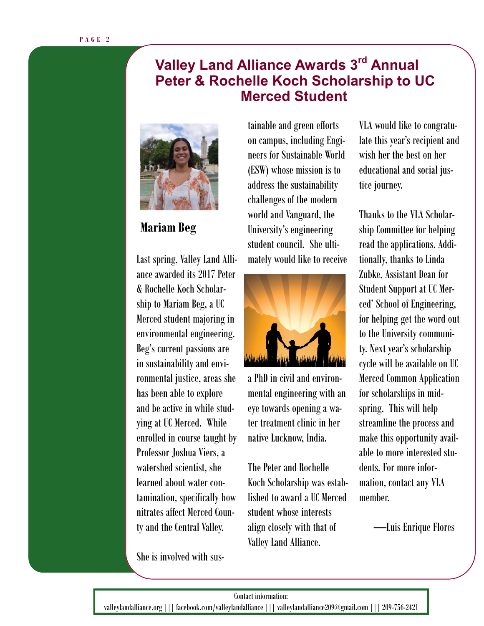### **Valley Land Alliance Awards 3rd Annual Peter & Rochelle Koch Scholarship to UC Merced Student**



### **Mariam Beg**

& Rochelle Koch Scholar-Last spring, Valley Land Alliance awarded its 2017 Peter ship to Mariam Beg, a UC Merced student majoring in environmental engineering. Beg's current passions are in sustainability and environmental justice, areas she has been able to explore and be active in while studying at UC Merced. While enrolled in course taught by Professor Joshua Viers, a watershed scientist, she learned about water contamination, specifically how nitrates affect Merced County and the Central Valley.

She is involved with sus-

tainable and green efforts on campus, including Engineers for Sustainable World (ESW) whose mission is to address the sustainability challenges of the modern world and Vanguard, the University's engineering student council. She ultimately would like to receive



a PhD in civil and environmental engineering with an eye towards opening a water treatment clinic in her native Lucknow, India.

The Peter and Rochelle Koch Scholarship was established to award a UC Merced student whose interests align closely with that of Valley Land Alliance.

VLA would like to congratulate this year's recipient and wish her the best on her educational and social justice journey.

Thanks to the VLA Scholarship Committee for helping read the applications. Additionally, thanks to Linda Zubke, Assistant Dean for Student Support at UC Merced' School of Engineering, for helping get the word out to the University community. Next year's scholarship cycle will be available on UC Merced Common Application for scholarships in midspring. This will help streamline the process and make this opportunity available to more interested students. For more information, contact any VLA member.

—Luis Enrique Flores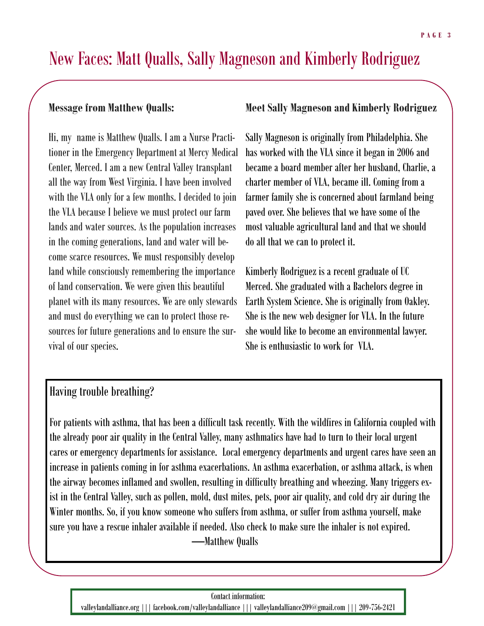### New Faces: Matt Qualls, Sally Magneson and Kimberly Rodriguez

#### **Message from Matthew Qualls:**

Hi, my name is Matthew Qualls. I am a Nurse Practitioner in the Emergency Department at Mercy Medical Center, Merced. I am a new Central Valley transplant all the way from West Virginia. I have been involved with the VLA only for a few months. I decided to join the VLA because I believe we must protect our farm lands and water sources. As the population increases in the coming generations, land and water will become scarce resources. We must responsibly develop land while consciously remembering the importance of land conservation. We were given this beautiful planet with its many resources. We are only stewards and must do everything we can to protect those resources for future generations and to ensure the survival of our species.

#### **Meet Sally Magneson and Kimberly Rodriguez**

Sally Magneson is originally from Philadelphia. She has worked with the VLA since it began in 2006 and became a board member after her husband, Charlie, a charter member of VLA, became ill. Coming from a farmer family she is concerned about farmland being paved over. She believes that we have some of the most valuable agricultural land and that we should do all that we can to protect it.

Kimberly Rodriguez is a recent graduate of UC Merced. She graduated with a Bachelors degree in Earth System Science. She is originally from Oakley. She is the new web designer for VLA. In the future she would like to become an environmental lawyer. She is enthusiastic to work for VLA.

### Having trouble breathing?

For patients with asthma, that has been a difficult task recently. With the wildfires in California coupled with the already poor air quality in the Central Valley, many asthmatics have had to turn to their local urgent cares or emergency departments for assistance. Local emergency departments and urgent cares have seen an increase in patients coming in for asthma exacerbations. An asthma exacerbation, or asthma attack, is when the airway becomes inflamed and swollen, resulting in difficulty breathing and wheezing. Many triggers exist in the Central Valley, such as pollen, mold, dust mites, pets, poor air quality, and cold dry air during the Winter months. So, if you know someone who suffers from asthma, or suffer from asthma yourself, make sure you have a rescue inhaler available if needed. Also check to make sure the inhaler is not expired. —Matthew Qualls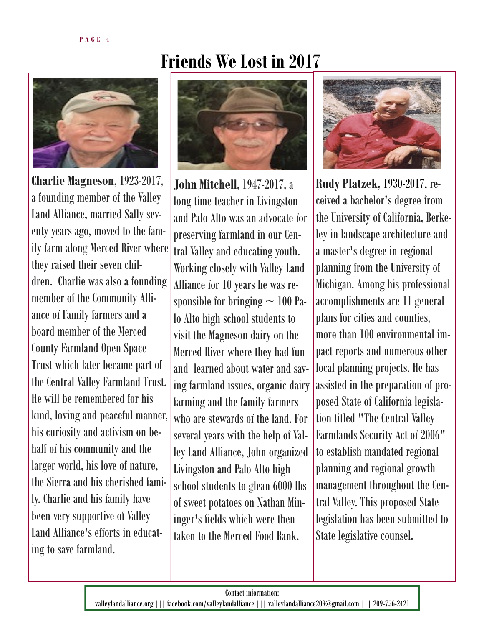

**Charlie Magneson**, 1923-2017, a founding member of the Valley Land Alliance, married Sally seventy years ago, moved to the family farm along Merced River where they raised their seven children. Charlie was also a founding member of the Community Alliance of Family farmers and a board member of the Merced County Farmland Open Space Trust which later became part of the Central Valley Farmland Trust. He will be remembered for his kind, loving and peaceful manner, his curiosity and activism on behalf of his community and the larger world, his love of nature, the Sierra and his cherished family. Charlie and his family have been very supportive of Valley Land Alliance's efforts in educating to save farmland.

# **Friends We Lost in 2017**



**John Mitchell**, 1947-2017, a long time teacher in Livingston and Palo Alto was an advocate for preserving farmland in our Central Valley and educating youth. Working closely with Valley Land Alliance for 10 years he was responsible for bringing  $\sim 100$  Palo Alto high school students to visit the Magneson dairy on the Merced River where they had fun and learned about water and saving farmland issues, organic dairy farming and the family farmers who are stewards of the land. For several years with the help of Valley Land Alliance, John organized Livingston and Palo Alto high school students to glean 6000 lbs of sweet potatoes on Nathan Mininger's fields which were then taken to the Merced Food Bank.



**Rudy Platzek,** 1930-2017, received a bachelor's degree from the University of California, Berkeley in landscape architecture and a master's degree in regional planning from the University of Michigan. Among his professional accomplishments are 11 general plans for cities and counties, more than 100 environmental impact reports and numerous other local planning projects. He has assisted in the preparation of proposed State of California legislation titled "The Central Valley Farmlands Security Act of 2006" to establish mandated regional planning and regional growth management throughout the Central Valley. This proposed State legislation has been submitted to State legislative counsel.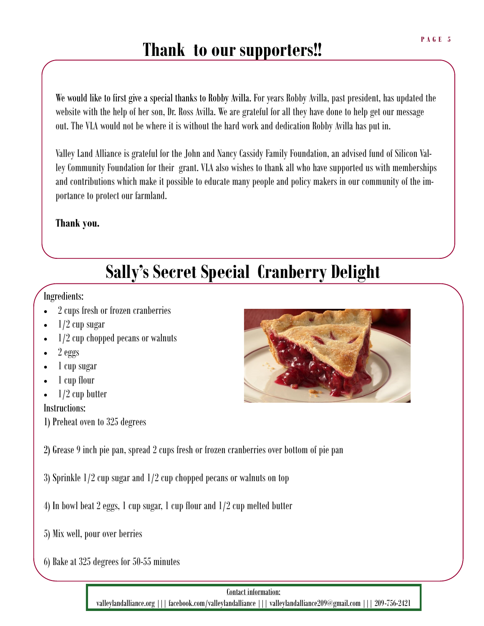### **Thank to our supporters!!**

We would like to first give a special thanks to Robby Avilla. For years Robby Avilla, past president, has updated the website with the help of her son, Dr. Ross Avilla. We are grateful for all they have done to help get our message out. The VLA would not be where it is without the hard work and dedication Robby Avilla has put in.

Valley Land Alliance is grateful for the John and Nancy Cassidy Family Foundation, an advised fund of Silicon Valley Community Foundation for their grant. VLA also wishes to thank all who have supported us with memberships and contributions which make it possible to educate many people and policy makers in our community of the importance to protect our farmland.

#### **Thank you.**

# **Sally's Secret Special Cranberry Delight**

#### Ingredients:

- 2 cups fresh or frozen cranberries
- 1/2 cup sugar
- 1/2 cup chopped pecans or walnuts
- 2 eggs
- 1 cup sugar
- 1 cup flour
- 1/2 cup butter

### Instructions:

1) Preheat oven to 325 degrees

2) Grease 9 inch pie pan, spread 2 cups fresh or frozen cranberries over bottom of pie pan

- 3) Sprinkle 1/2 cup sugar and 1/2 cup chopped pecans or walnuts on top
- 4) In bowl beat 2 eggs, 1 cup sugar, 1 cup flour and 1/2 cup melted butter
- 5) Mix well, pour over berries
- 6) Bake at 325 degrees for 50-55 minutes



Contact information: valleylandalliance.org ||| facebook.com/valleylandalliance ||| valleylandalliance209@gmail.com ||| 209-756-2421